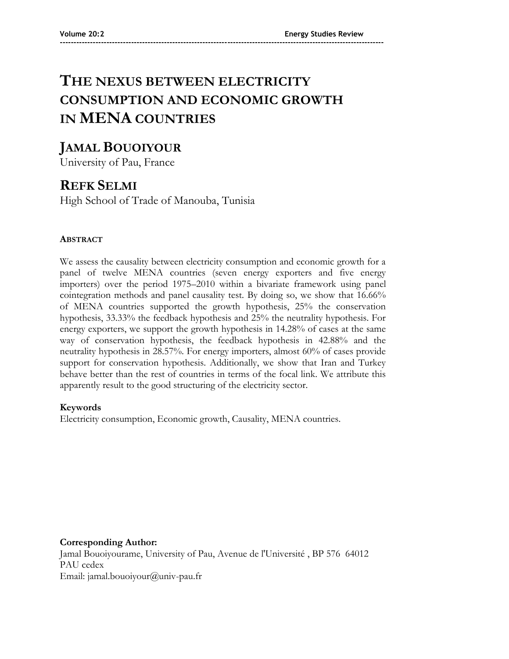# **THE NEXUS BETWEEN ELECTRICITY CONSUMPTION AND ECONOMIC GROWTH IN MENA COUNTRIES**

**----------------------------------------------------------------------------------------------------------------------**

## **JAMAL BOUOIYOUR**

University of Pau, France

## **REFK SELMI**

High School of Trade of Manouba, Tunisia

## **ABSTRACT**

We assess the causality between electricity consumption and economic growth for a panel of twelve MENA countries (seven energy exporters and five energy importers) over the period 1975–2010 within a bivariate framework using panel cointegration methods and panel causality test. By doing so, we show that 16.66% of MENA countries supported the growth hypothesis, 25% the conservation hypothesis, 33.33% the feedback hypothesis and 25% the neutrality hypothesis. For energy exporters, we support the growth hypothesis in 14.28% of cases at the same way of conservation hypothesis, the feedback hypothesis in 42.88% and the neutrality hypothesis in 28.57%. For energy importers, almost 60% of cases provide support for conservation hypothesis. Additionally, we show that Iran and Turkey behave better than the rest of countries in terms of the focal link. We attribute this apparently result to the good structuring of the electricity sector.

## **Keywords**

Electricity consumption, Economic growth, Causality, MENA countries.

**Corresponding Author:** Jamal Bouoiyourame, University of Pau, Avenue de l'Université , BP 576 64012 PAU cedex Email: jamal.bouoiyour@univ-pau.fr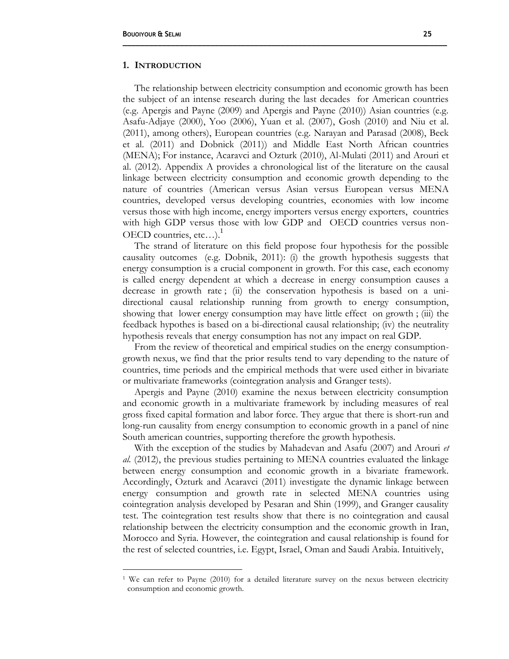$\overline{a}$ 

#### **1. INTRODUCTION**

The relationship between electricity consumption and economic growth has been the subject of an intense research during the last decades for American countries (e.g. Apergis and Payne (2009) and Apergis and Payne (2010)) Asian countries (e.g. Asafu-Adjaye (2000), Yoo (2006), Yuan et al. (2007), Gosh (2010) and Niu et al. (2011), among others), European countries (e.g. Narayan and Parasad (2008), Beck et al. (2011) and Dobnick (2011)) and Middle East North African countries (MENA); For instance, Acaravci and Ozturk (2010), Al-Mulati (2011) and Arouri et al. (2012). Appendix A provides a chronological list of the literature on the causal linkage between electricity consumption and economic growth depending to the nature of countries (American versus Asian versus European versus MENA countries, developed versus developing countries, economies with low income versus those with high income, energy importers versus energy exporters, countries with high GDP versus those with low GDP and OECD countries versus non-OECD countries,  $etc...$ ).<sup>1</sup>

**\_\_\_\_\_\_\_\_\_\_\_\_\_\_\_\_\_\_\_\_\_\_\_\_\_\_\_\_\_\_\_\_\_\_\_\_\_\_\_\_\_\_\_\_\_\_\_\_\_\_\_\_\_\_\_\_\_\_\_\_\_\_\_\_\_\_\_\_\_\_\_\_\_\_**

The strand of literature on this field propose four hypothesis for the possible causality outcomes (e.g. Dobnik, 2011): (i) the growth hypothesis suggests that energy consumption is a crucial component in growth. For this case, each economy is called energy dependent at which a decrease in energy consumption causes a decrease in growth rate ; (ii) the conservation hypothesis is based on a unidirectional causal relationship running from growth to energy consumption, showing that lower energy consumption may have little effect on growth ; (iii) the feedback hypothes is based on a bi-directional causal relationship; (iv) the neutrality hypothesis reveals that energy consumption has not any impact on real GDP.

From the review of theoretical and empirical studies on the energy consumptiongrowth nexus, we find that the prior results tend to vary depending to the nature of countries, time periods and the empirical methods that were used either in bivariate or multivariate frameworks (cointegration analysis and Granger tests).

Apergis and Payne (2010) examine the nexus between electricity consumption and economic growth in a multivariate framework by including measures of real gross fixed capital formation and labor force. They argue that there is short-run and long-run causality from energy consumption to economic growth in a panel of nine South american countries, supporting therefore the growth hypothesis.

With the exception of the studies by Mahadevan and Asafu (2007) and Arouri *et al.* (2012), the previous studies pertaining to MENA countries evaluated the linkage between energy consumption and economic growth in a bivariate framework. Accordingly, Ozturk and Acaravci (2011) investigate the dynamic linkage between energy consumption and growth rate in selected MENA countries using cointegration analysis developed by Pesaran and Shin (1999), and Granger causality test. The cointegration test results show that there is no cointegration and causal relationship between the electricity consumption and the economic growth in Iran, Morocco and Syria. However, the cointegration and causal relationship is found for the rest of selected countries, i.e. Egypt, Israel, Oman and Saudi Arabia. Intuitively,

<sup>&</sup>lt;sup>1</sup> We can refer to Payne (2010) for a detailed literature survey on the nexus between electricity consumption and economic growth.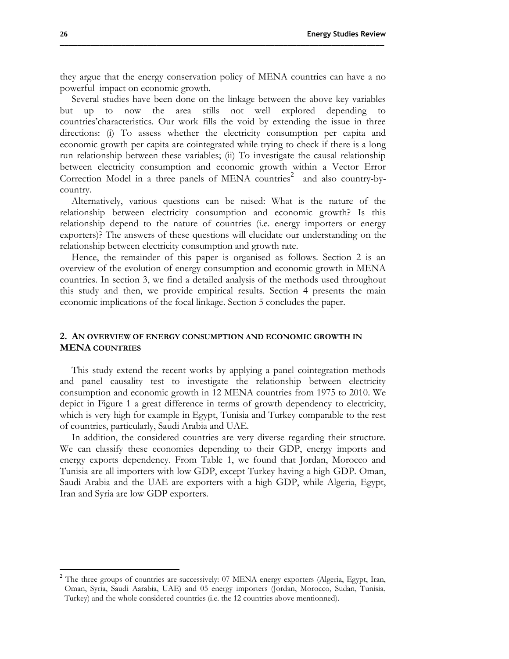they argue that the energy conservation policy of MENA countries can have a no powerful impact on economic growth.

Several studies have been done on the linkage between the above key variables but up to now the area stills not well explored depending to countries'characteristics. Our work fills the void by extending the issue in three directions: (i) To assess whether the electricity consumption per capita and economic growth per capita are cointegrated while trying to check if there is a long run relationship between these variables; (ii) To investigate the causal relationship between electricity consumption and economic growth within a Vector Error Correction Model in a three panels of MENA countries<sup>2</sup> and also country-bycountry.

Alternatively, various questions can be raised: What is the nature of the relationship between electricity consumption and economic growth? Is this relationship depend to the nature of countries (i.e. energy importers or energy exporters)? The answers of these questions will elucidate our understanding on the relationship between electricity consumption and growth rate.

Hence, the remainder of this paper is organised as follows. Section 2 is an overview of the evolution of energy consumption and economic growth in MENA countries. In section 3, we find a detailed analysis of the methods used throughout this study and then, we provide empirical results. Section 4 presents the main economic implications of the focal linkage. Section 5 concludes the paper.

### **2. AN OVERVIEW OF ENERGY CONSUMPTION AND ECONOMIC GROWTH IN MENA COUNTRIES**

This study extend the recent works by applying a panel cointegration methods and panel causality test to investigate the relationship between electricity consumption and economic growth in 12 MENA countries from 1975 to 2010. We depict in Figure 1 a great difference in terms of growth dependency to electricity, which is very high for example in Egypt, Tunisia and Turkey comparable to the rest of countries, particularly, Saudi Arabia and UAE.

In addition, the considered countries are very diverse regarding their structure. We can classify these economies depending to their GDP, energy imports and energy exports dependency. From Table 1, we found that Jordan, Morocco and Tunisia are all importers with low GDP, except Turkey having a high GDP. Oman, Saudi Arabia and the UAE are exporters with a high GDP, while Algeria, Egypt, Iran and Syria are low GDP exporters.

 $\overline{a}$ 

 $2$  The three groups of countries are successively: 07 MENA energy exporters (Algeria, Egypt, Iran, Oman, Syria, Saudi Aarabia, UAE) and 05 energy importers (Jordan, Morocco, Sudan, Tunisia, Turkey) and the whole considered countries (i.e. the 12 countries above mentionned).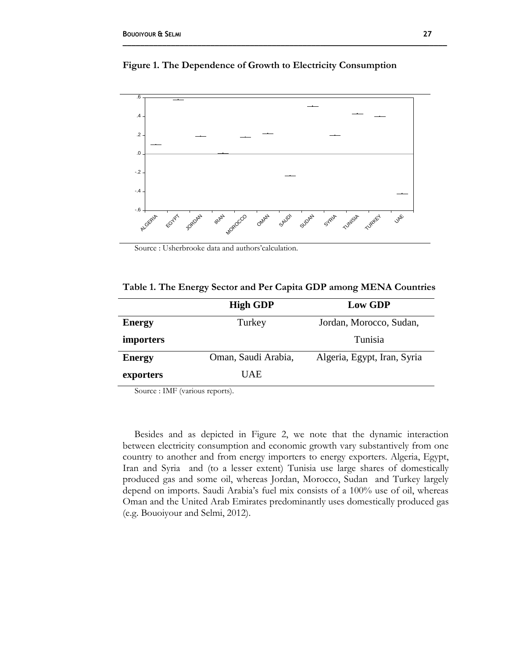

**Figure 1. The Dependence of Growth to Electricity Consumption**

Source : Usherbrooke data and authors'calculation.

|  |  | Table 1. The Energy Sector and Per Capita GDP among MENA Countries |  |
|--|--|--------------------------------------------------------------------|--|
|  |  |                                                                    |  |

|                  | <b>High GDP</b>     | <b>Low GDP</b>              |
|------------------|---------------------|-----------------------------|
| <b>Energy</b>    | Turkey              | Jordan, Morocco, Sudan,     |
| <i>importers</i> |                     | Tunisia                     |
| <b>Energy</b>    | Oman, Saudi Arabia, | Algeria, Egypt, Iran, Syria |
| exporters        | <b>UAE</b>          |                             |

Source : IMF (various reports).

Besides and as depicted in Figure 2, we note that the dynamic interaction between electricity consumption and economic growth vary substantively from one country to another and from energy importers to energy exporters. Algeria, Egypt, Iran and Syria and (to a lesser extent) Tunisia use large shares of domestically produced gas and some oil, whereas Jordan, Morocco, Sudan and Turkey largely depend on imports. Saudi Arabia's fuel mix consists of a 100% use of oil, whereas Oman and the United Arab Emirates predominantly uses domestically produced gas (e.g. Bouoiyour and Selmi, 2012).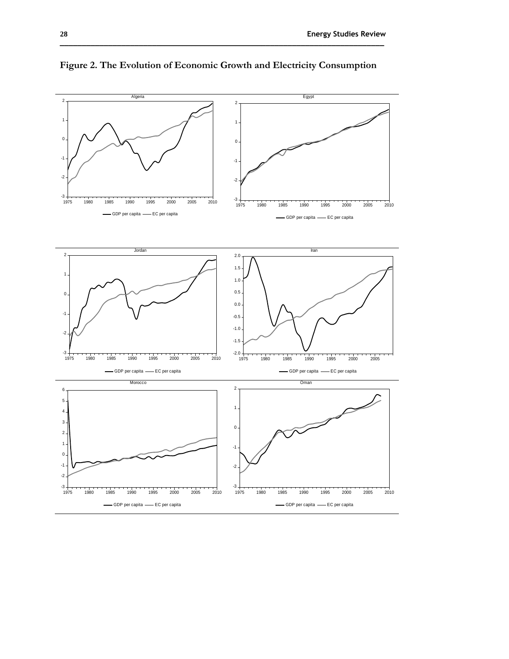

**Figure 2. The Evolution of Economic Growth and Electricity Consumption**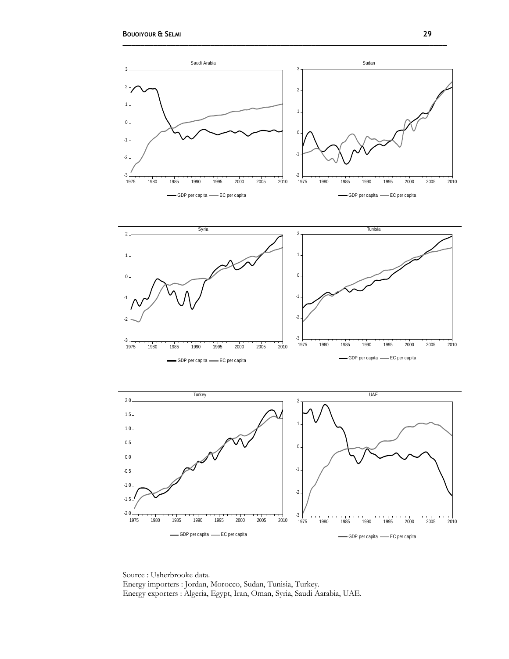

Source : Usherbrooke data. Energy importers : Jordan, Morocco, Sudan, Tunisia, Turkey. Energy exporters : Algeria, Egypt, Iran, Oman, Syria, Saudi Aarabia, UAE.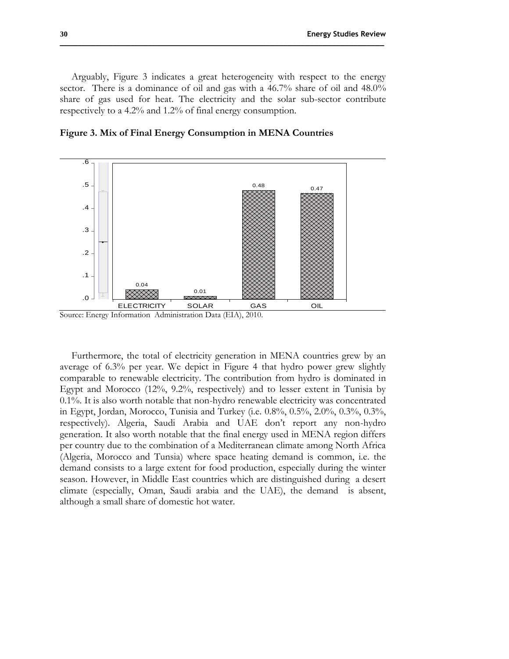Arguably, Figure 3 indicates a great heterogeneity with respect to the energy sector. There is a dominance of oil and gas with a 46.7% share of oil and 48.0% share of gas used for heat. The electricity and the solar sub-sector contribute respectively to a 4.2% and 1.2% of final energy consumption.



**Figure 3. Mix of Final Energy Consumption in MENA Countries**

Source: Energy Information Administration Data (EIA), 2010.

Furthermore, the total of electricity generation in MENA countries grew by an average of 6.3% per year. We depict in Figure 4 that hydro power grew slightly comparable to renewable electricity. The contribution from hydro is dominated in Egypt and Morocco (12%, 9.2%, respectively) and to lesser extent in Tunisia by 0.1%. It is also worth notable that non-hydro renewable electricity was concentrated in Egypt, Jordan, Morocco, Tunisia and Turkey (i.e. 0.8%, 0.5%, 2.0%, 0.3%, 0.3%, respectively). Algeria, Saudi Arabia and UAE don't report any non-hydro generation. It also worth notable that the final energy used in MENA region differs per country due to the combination of a Mediterranean climate among North Africa (Algeria, Morocco and Tunsia) where space heating demand is common, i.e. the demand consists to a large extent for food production, especially during the winter season. However, in Middle East countries which are distinguished during a desert climate (especially, Oman, Saudi arabia and the UAE), the demand is absent, although a small share of domestic hot water.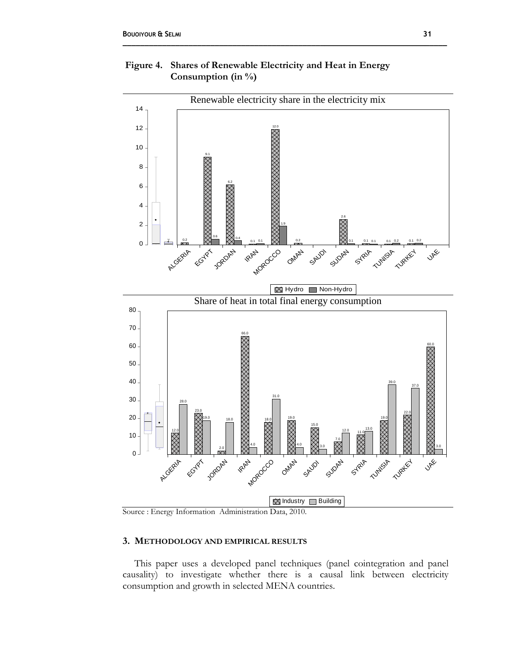



Source : Energy Information Administration Data, 2010.

## **3. METHODOLOGY AND EMPIRICAL RESULTS**

This paper uses a developed panel techniques (panel cointegration and panel causality) to investigate whether there is a causal link between electricity consumption and growth in selected MENA countries.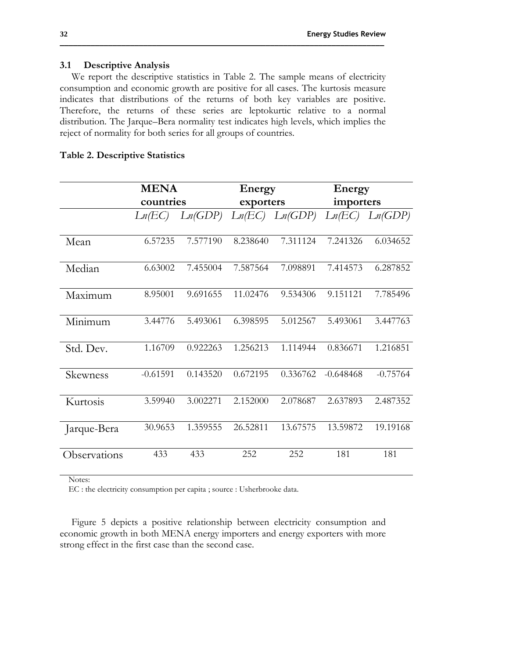#### **3.1 Descriptive Analysis**

We report the descriptive statistics in Table 2. The sample means of electricity consumption and economic growth are positive for all cases. The kurtosis measure indicates that distributions of the returns of both key variables are positive. Therefore, the returns of these series are leptokurtic relative to a normal distribution. The Jarque–Bera normality test indicates high levels, which implies the reject of normality for both series for all groups of countries.

|              | <b>MENA</b> |          | Energy    |          | Energy      |            |
|--------------|-------------|----------|-----------|----------|-------------|------------|
|              | countries   |          | exporters |          | importers   |            |
|              | Ln(EC)      | Ln(GDP)  | Ln(EC)    | Ln(GDP)  | Ln(EC)      | Ln(GDP)    |
| Mean         | 6.57235     | 7.577190 | 8.238640  | 7.311124 | 7.241326    | 6.034652   |
| Median       | 6.63002     | 7.455004 | 7.587564  | 7.098891 | 7.414573    | 6.287852   |
| Maximum      | 8.95001     | 9.691655 | 11.02476  | 9.534306 | 9.151121    | 7.785496   |
| Minimum      | 3.44776     | 5.493061 | 6.398595  | 5.012567 | 5.493061    | 3.447763   |
| Std. Dev.    | 1.16709     | 0.922263 | 1.256213  | 1.114944 | 0.836671    | 1.216851   |
| Skewness     | $-0.61591$  | 0.143520 | 0.672195  | 0.336762 | $-0.648468$ | $-0.75764$ |
| Kurtosis     | 3.59940     | 3.002271 | 2.152000  | 2.078687 | 2.637893    | 2.487352   |
| Jarque-Bera  | 30.9653     | 1.359555 | 26.52811  | 13.67575 | 13.59872    | 19.19168   |
| Observations | 433         | 433      | 252       | 252      | 181         | 181        |

#### **Table 2. Descriptive Statistics**

Notes:

EC : the electricity consumption per capita ; source : Usherbrooke data.

Figure 5 depicts a positive relationship between electricity consumption and economic growth in both MENA energy importers and energy exporters with more strong effect in the first case than the second case.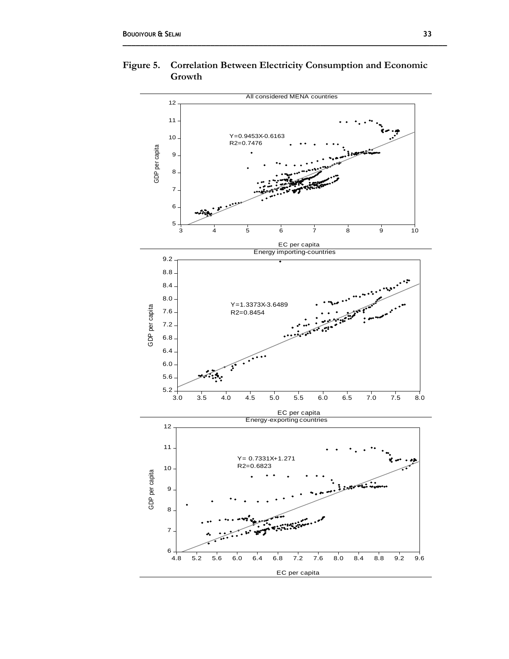

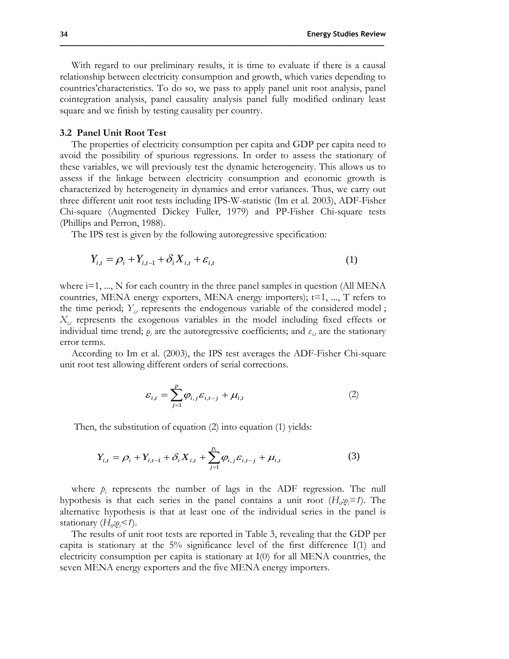With regard to our preliminary results, it is time to evaluate if there is a causal relationship between electricity consumption and growth, which varies depending to countries'characteristics. To do so, we pass to apply panel unit root analysis, panel cointegration analysis, panel causality analysis panel fully modified ordinary least square and we finish by testing causality per country.

**\_\_\_\_\_\_\_\_\_\_\_\_\_\_\_\_\_\_\_\_\_\_\_\_\_\_\_\_\_\_\_\_\_\_\_\_\_\_\_\_\_\_\_\_\_\_\_\_\_\_\_\_\_\_\_\_\_\_\_\_\_\_\_\_\_\_\_\_\_\_\_\_\_\_**

#### **3.2 Panel Unit Root Test**

The properties of electricity consumption per capita and GDP per capita need to avoid the possibility of spurious regressions. In order to assess the stationary of these variables, we will previously test the dynamic heterogeneity. This allows us to assess if the linkage between electricity consumption and economic growth is characterized by heterogeneity in dynamics and error variances. Thus, we carry out three different unit root tests including IPS-W-statistic (Im et al. 2003), ADF-Fisher Chi-square (Augmented Dickey Fuller, 1979) and PP-Fisher Chi-square tests (Phillips and Perron, 1988).

The IPS test is given by the following autoregressive specification:

$$
Y_{i,t} = \rho_i + Y_{i,t-1} + \delta_i X_{i,t} + \varepsilon_{i,t}
$$
 (1)

where i=1, ..., N for each country in the three panel samples in question (All MENA countries, MENA energy exporters, MENA energy importers);  $t=1, ..., T$  refers to the time period;  $Y_{i}$  represents the endogenous variable of the considered model;  $X_{i,j}$  represents the exogenous variables in the model including fixed effects or individual time trend;  $\rho_i$  are the autoregressive coefficients; and  $\varepsilon_{i,t}$  are the stationary error terms.

According to Im et al. (2003), the IPS test averages the ADF-Fisher Chi-square unit root test allowing different orders of serial corrections.

$$
\varepsilon_{i,t} = \sum_{j=1}^{p} \varphi_{i,j} \varepsilon_{i,t-j} + \mu_{i,t}
$$
 (2)

Then, the substitution of equation (2) into equation (1) yields:

$$
Y_{i,t} = \rho_i + Y_{i,t-1} + \delta_i X_{i,t} + \sum_{j=1}^{p_i} \varphi_{i,j} \varepsilon_{i,t-j} + \mu_{i,t}
$$
 (3)

where  $p_i$  represents the number of lags in the ADF regression. The null hypothesis is that each series in the panel contains a unit root  $(H_0 \cdot \varrho_i = 1)$ . The alternative hypothesis is that at least one of the individual series in the panel is stationary (*H*<sub>0</sub>: $\varrho$ *<sub>i</sub>*<1).

The results of unit root tests are reported in Table 3, revealing that the GDP per capita is stationary at the  $5\%$  significance level of the first difference I(1) and electricity consumption per capita is stationary at I(0) for all MENA countries, the seven MENA energy exporters and the five MENA energy importers.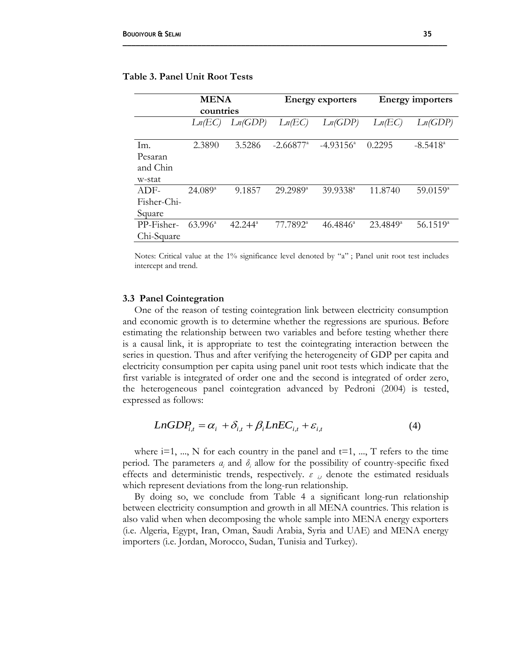|             | <b>MENA</b>      |                  |                      | <b>Energy exporters</b> |                      | <b>Energy importers</b> |  |
|-------------|------------------|------------------|----------------------|-------------------------|----------------------|-------------------------|--|
|             | countries        |                  |                      |                         |                      |                         |  |
|             | Ln/EC            | Ln(GDP)          | Ln(EC)               | Ln(GDP)                 | Ln(EC)               | Ln(GDP)                 |  |
|             |                  |                  |                      |                         |                      |                         |  |
| Im.         | 2.3890           | 3.5286           | $-2.66877^{\circ}$   | $-4.93156^{\circ}$      | 0.2295               | $-8.5418^{\circ}$       |  |
| Pesaran     |                  |                  |                      |                         |                      |                         |  |
| and Chin    |                  |                  |                      |                         |                      |                         |  |
| w-stat      |                  |                  |                      |                         |                      |                         |  |
| $ADF-$      | $24.089^{\circ}$ | 9.1857           | $29.2989^{\text{a}}$ | $39.9338^{\circ}$       | 11.8740              | $59.0159^{\circ}$       |  |
| Fisher-Chi- |                  |                  |                      |                         |                      |                         |  |
| Square      |                  |                  |                      |                         |                      |                         |  |
| PP-Fisher-  | $63.996^{\circ}$ | $42.244^{\circ}$ | 77.7892 <sup>a</sup> | $46.4846^a$             | 23.4849 <sup>a</sup> | $56.1519^{a}$           |  |
| Chi-Square  |                  |                  |                      |                         |                      |                         |  |

## **Table 3. Panel Unit Root Tests**

Notes: Critical value at the 1% significance level denoted by "a" ; Panel unit root test includes intercept and trend.

#### **3.3 Panel Cointegration**

One of the reason of testing cointegration link between electricity consumption and economic growth is to determine whether the regressions are spurious. Before estimating the relationship between two variables and before testing whether there is a causal link, it is appropriate to test the cointegrating interaction between the series in question. Thus and after verifying the heterogeneity of GDP per capita and electricity consumption per capita using panel unit root tests which indicate that the first variable is integrated of order one and the second is integrated of order zero, the heterogeneous panel cointegration advanced by Pedroni (2004) is tested, expressed as follows:

$$
LnGDP_{i,t} = \alpha_i + \delta_{i,t} + \beta_i LnEC_{i,t} + \varepsilon_{i,t}
$$
\n<sup>(4)</sup>

where  $i=1, ..., N$  for each country in the panel and  $t=1, ..., T$  refers to the time period. The parameters  $a_i$  and  $\delta_i$  allow for the possibility of country-specific fixed effects and deterministic trends, respectively. *ε i,t* denote the estimated residuals which represent deviations from the long-run relationship.

By doing so, we conclude from Table 4 a significant long-run relationship between electricity consumption and growth in all MENA countries. This relation is also valid when when decomposing the whole sample into MENA energy exporters (i.e. Algeria, Egypt, Iran, Oman, Saudi Arabia, Syria and UAE) and MENA energy importers (i.e. Jordan, Morocco, Sudan, Tunisia and Turkey).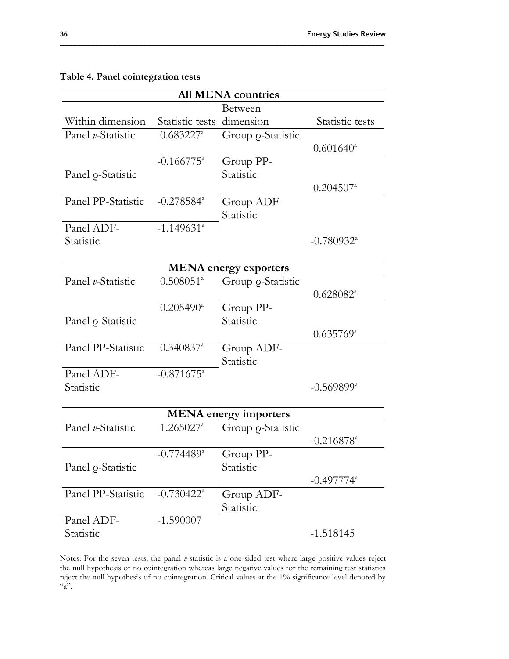|                           | <b>All MENA countries</b> |                              |                          |  |  |  |  |
|---------------------------|---------------------------|------------------------------|--------------------------|--|--|--|--|
|                           |                           | Between                      |                          |  |  |  |  |
| Within dimension          | Statistic tests           | dimension                    | Statistic tests          |  |  |  |  |
| Panel v-Statistic         | $0.683227^a$              | Group <i>Q</i> -Statistic    |                          |  |  |  |  |
|                           |                           |                              | $0.601640^{\circ}$       |  |  |  |  |
|                           | $-0.166775$ <sup>a</sup>  | Group PP-                    |                          |  |  |  |  |
| Panel <i>Q</i> -Statistic |                           | Statistic                    |                          |  |  |  |  |
|                           |                           |                              | $0.204507$ <sup>a</sup>  |  |  |  |  |
| Panel PP-Statistic        | $-0.278584$ <sup>a</sup>  | Group ADF-                   |                          |  |  |  |  |
|                           |                           | Statistic                    |                          |  |  |  |  |
| Panel ADF-                | $-1.149631^{a}$           |                              |                          |  |  |  |  |
| Statistic                 |                           |                              | $-0.780932$ <sup>a</sup> |  |  |  |  |
|                           |                           |                              |                          |  |  |  |  |
|                           |                           | <b>MENA</b> energy exporters |                          |  |  |  |  |
| Panel v-Statistic         | $0.508051^a$              | Group <i>Q</i> -Statistic    |                          |  |  |  |  |
|                           |                           |                              | $0.628082^a$             |  |  |  |  |
|                           | $0.205490^{\mathrm{a}}$   | Group PP-                    |                          |  |  |  |  |
| Panel o-Statistic         |                           | Statistic                    |                          |  |  |  |  |
|                           |                           |                              | $0.635769^{\circ}$       |  |  |  |  |
| Panel PP-Statistic        | $0.340837$ <sup>a</sup>   | Group ADF-                   |                          |  |  |  |  |
|                           |                           | Statistic                    |                          |  |  |  |  |
| Panel ADF-                | $-0.871675$ <sup>a</sup>  |                              |                          |  |  |  |  |
| Statistic                 |                           |                              | $-0.569899^{\rm a}$      |  |  |  |  |
|                           |                           |                              |                          |  |  |  |  |
|                           |                           | <b>MENA</b> energy importers |                          |  |  |  |  |
| Panel v-Statistic         | $1.265027^a$              | Group <i>o</i> -Statistic    |                          |  |  |  |  |
|                           |                           |                              | $-0.216878$ <sup>a</sup> |  |  |  |  |
|                           | $-0.774489$ <sup>a</sup>  | Group PP-                    |                          |  |  |  |  |
| Panel o-Statistic         |                           | Statistic                    |                          |  |  |  |  |
|                           |                           |                              | $-0.497774$ <sup>a</sup> |  |  |  |  |
| Panel PP-Statistic        | $-0.730422$ <sup>a</sup>  | Group ADF-                   |                          |  |  |  |  |
|                           |                           | Statistic                    |                          |  |  |  |  |
| Panel ADF-                | $-1.590007$               |                              |                          |  |  |  |  |
| Statistic                 |                           |                              | $-1.518145$              |  |  |  |  |
|                           |                           |                              |                          |  |  |  |  |

## **Table 4. Panel cointegration tests**

Notes: For the seven tests, the panel *v*-statistic is a one-sided test where large positive values reject the null hypothesis of no cointegration whereas large negative values for the remaining test statistics reject the null hypothesis of no cointegration. Critical values at the 1% significance level denoted by  $a$ ".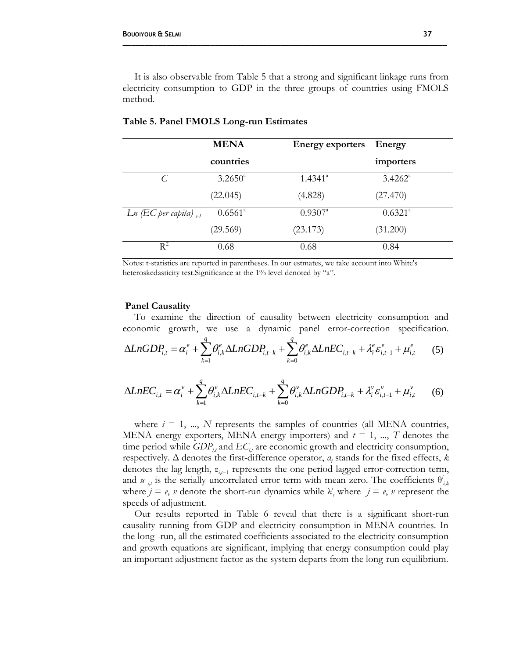It is also observable from Table 5 that a strong and significant linkage runs from electricity consumption to GDP in the three groups of countries using FMOLS method.

**\_\_\_\_\_\_\_\_\_\_\_\_\_\_\_\_\_\_\_\_\_\_\_\_\_\_\_\_\_\_\_\_\_\_\_\_\_\_\_\_\_\_\_\_\_\_\_\_\_\_\_\_\_\_\_\_\_\_\_\_\_\_\_\_\_\_\_\_\_\_\_\_\_\_**

|                                           | <b>MENA</b>      | <b>Energy exporters</b> | Energy           |  |
|-------------------------------------------|------------------|-------------------------|------------------|--|
|                                           | countries        |                         | importers        |  |
| $\mathcal{C}$                             | $3.2650^{\circ}$ | $1.4341^{\circ}$        | $3.4262^{\circ}$ |  |
|                                           | (22.045)         | (4.828)                 | (27.470)         |  |
| $Ln \left( EC\right)$ per capita) $_{t1}$ | $0.6561^{\circ}$ | $0.9307^{\circ}$        | $0.6321^{\circ}$ |  |
|                                           | (29.569)         | (23.173)                | (31.200)         |  |
| $R^2$                                     | 0.68             | 0.68                    | 0.84             |  |

#### **Table 5. Panel FMOLS Long-run Estimates**

Notes: t-statistics are reported in parentheses. In our estmates, we take account into White's heteroskedasticity test. Significance at the 1% level denoted by "a".

#### **Panel Causality**

To examine the direction of causality between electricity consumption and economic growth, we use a dynamic panel error-correction specification.

$$
\Delta LnGDP_{i,t} = \alpha_i^e + \sum_{k=1}^q \theta_{i,k}^e \Delta LnGDP_{i,t-k} + \sum_{k=0}^q \theta_{i,k}^e \Delta LnEC_{i,t-k} + \lambda_i^e \varepsilon_{i,t-1}^e + \mu_{i,t}^e \qquad (5)
$$

$$
\Delta LnEC_{i,t} = \alpha_i^{\nu} + \sum_{k=1}^{q} \theta_{i,k}^{\nu} \Delta LnEC_{i,t-k} + \sum_{k=0}^{q} \theta_{i,k}^{\nu} \Delta LnGDP_{i,t-k} + \lambda_i^{\nu} \varepsilon_{i,t-1}^{\nu} + \mu_{i,t}^{\nu}
$$
 (6)

where  $i = 1, ..., N$  represents the samples of countries (all MENA countries, MENA energy exporters, MENA energy importers) and  $t = 1, ..., T$  denotes the time period while  $GDP_i$  and  $EC_i$  are economic growth and electricity consumption, respectively. Δ denotes the first-difference operator, *α<sup>i</sup>* stands for the fixed effects, *k*  denotes the lag length,  $\varepsilon$ <sub>i</sub>,<sup> $-1$ </sup> represents the one period lagged error-correction term, and *u*<sub>*i*,*t*</sub> is the serially uncorrelated error term with mean zero. The coefficients  $\theta_{i,k}^{i}$ where  $j = e$ , *v* denote the short-run dynamics while  $\lambda^j$ , where  $j = e$ , *v* represent the speeds of adjustment.

Our results reported in Table 6 reveal that there is a significant short-run causality running from GDP and electricity consumption in MENA countries. In the long -run, all the estimated coefficients associated to the electricity consumption and growth equations are significant, implying that energy consumption could play an important adjustment factor as the system departs from the long-run equilibrium.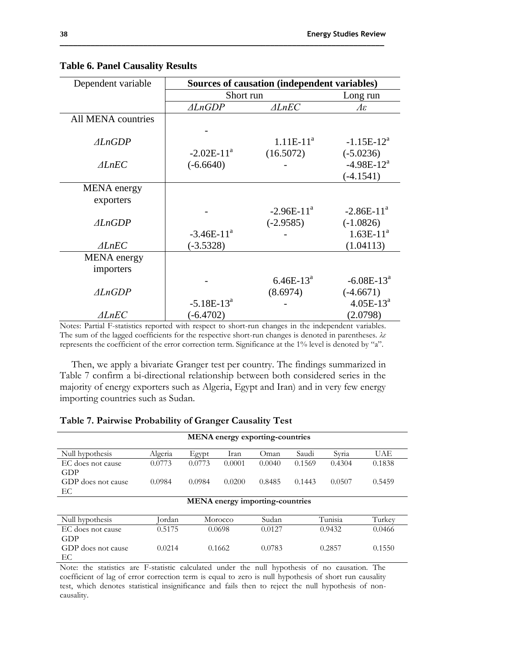| Dependent variable | Sources of causation (independent variables) |                  |                          |  |
|--------------------|----------------------------------------------|------------------|--------------------------|--|
|                    | Short run                                    |                  | Long run                 |  |
|                    | $\triangle LnGDP$                            | $\triangle$ LnEC | $\varLambda \varepsilon$ |  |
| All MENA countries |                                              |                  |                          |  |
|                    |                                              |                  |                          |  |
| $\triangle$ LnGDP  |                                              | $1.11E-11^a$     | $-1.15E-12^a$            |  |
|                    | $-2.02E-11^a$                                | (16.5072)        | $(-5.0236)$              |  |
| $\triangle$ LnEC   | $(-6.6640)$                                  |                  | $-4.98E-12^{a}$          |  |
|                    |                                              |                  | $(-4.1541)$              |  |
| <b>MENA</b> energy |                                              |                  |                          |  |
| exporters          |                                              |                  |                          |  |
|                    |                                              | $-2.96E-11^a$    | $-2.86E-11^a$            |  |
| $\triangle$ LnGDP  |                                              | $(-2.9585)$      | $(-1.0826)$              |  |
|                    | $-3.46E-11^{a}$                              |                  | $1.63E-11^{a}$           |  |
| $\triangle$ LnEC   | $(-3.5328)$                                  |                  | (1.04113)                |  |
| <b>MENA</b> energy |                                              |                  |                          |  |
| importers          |                                              |                  |                          |  |
|                    |                                              | $6.46E-13^a$     | $-6.08E-13^a$            |  |
| $\triangle$ LnGDP  |                                              | (8.6974)         | $(-4.6671)$              |  |
|                    | $-5.18E-13^a$                                |                  | $4.05E-13^{a}$           |  |
| $\triangle$ LnEC   | $(-6.4702)$                                  |                  | (2.0798)                 |  |

## **Table 6. Panel Causality Results**

Notes: Partial F-statistics reported with respect to short-run changes in the independent variables. The sum of the lagged coefficients for the respective short-run changes is denoted in parentheses. *λε* represents the coefficient of the error correction term. Significance at the 1% level is denoted by "a".

Then, we apply a bivariate Granger test per country. The findings summarized in Table 7 confirm a bi-directional relationship between both considered series in the majority of energy exporters such as Algeria, Egypt and Iran) and in very few energy importing countries such as Sudan.

|                          |         |        |         | <b>MENA</b> energy exporting-countries |        |         |            |
|--------------------------|---------|--------|---------|----------------------------------------|--------|---------|------------|
| Null hypothesis          | Algeria | Egypt  | Iran    | Oman                                   | Saudi  | Syria   | <b>UAE</b> |
| EC does not cause<br>GDP | 0.0773  | 0.0773 | 0.0001  | 0.0040                                 | 0.1569 | 0.4304  | 0.1838     |
| GDP does not cause<br>ЕC | 0.0984  | 0.0984 | 0.0200  | 0.8485                                 | 0.1443 | 0.0507  | 0.5459     |
|                          |         |        |         | <b>MENA</b> energy importing-countries |        |         |            |
| Null hypothesis          | Iordan  |        | Morocco | Sudan                                  |        | Tunisia | Turkey     |
| EC does not cause<br>GDP | 0.5175  |        | 0.0698  | 0.0127                                 |        | 0.9432  | 0.0466     |
| GDP does not cause<br>EС | 0.0214  |        | 0.1662  | 0.0783                                 |        | 0.2857  | 0.1550     |

## **Table 7. Pairwise Probability of Granger Causality Test**

Note: the statistics are F-statistic calculated under the null hypothesis of no causation. The coefficient of lag of error correction term is equal to zero is null hypothesis of short run causality test, which denotes statistical insignificance and fails then to reject the null hypothesis of noncausality.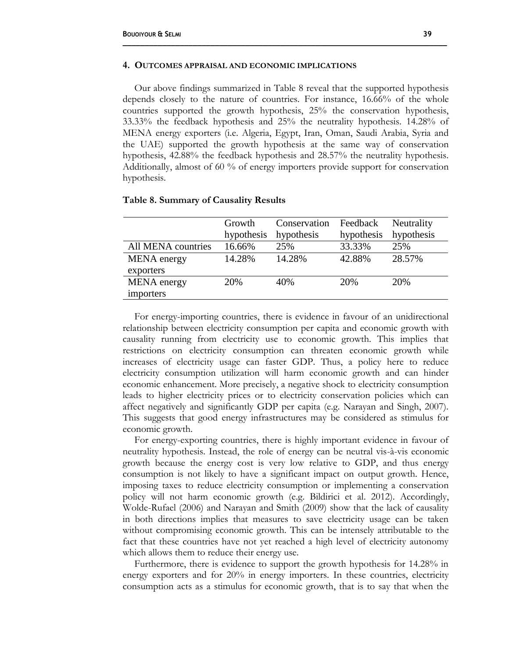#### **4. OUTCOMES APPRAISAL AND ECONOMIC IMPLICATIONS**

Our above findings summarized in Table 8 reveal that the supported hypothesis depends closely to the nature of countries. For instance, 16.66% of the whole countries supported the growth hypothesis, 25% the conservation hypothesis, 33.33% the feedback hypothesis and 25% the neutrality hypothesis. 14.28% of MENA energy exporters (i.e. Algeria, Egypt, Iran, Oman, Saudi Arabia, Syria and the UAE) supported the growth hypothesis at the same way of conservation hypothesis, 42.88% the feedback hypothesis and 28.57% the neutrality hypothesis. Additionally, almost of 60 % of energy importers provide support for conservation hypothesis.

**\_\_\_\_\_\_\_\_\_\_\_\_\_\_\_\_\_\_\_\_\_\_\_\_\_\_\_\_\_\_\_\_\_\_\_\_\_\_\_\_\_\_\_\_\_\_\_\_\_\_\_\_\_\_\_\_\_\_\_\_\_\_\_\_\_\_\_\_\_\_\_\_\_\_**

|                    | Growth     | Conservation | Feedback   | Neutrality |
|--------------------|------------|--------------|------------|------------|
|                    | hypothesis | hypothesis   | hypothesis | hypothesis |
| All MENA countries | 16.66%     | 25%          | 33.33%     | 25%        |
| <b>MENA</b> energy | 14.28%     | 14.28%       | 42.88%     | 28.57%     |
| exporters          |            |              |            |            |
| <b>MENA</b> energy | 20%        | 40%          | 20%        | 20%        |
| importers          |            |              |            |            |

#### **Table 8. Summary of Causality Results**

For energy-importing countries, there is evidence in favour of an unidirectional relationship between electricity consumption per capita and economic growth with causality running from electricity use to economic growth. This implies that restrictions on electricity consumption can threaten economic growth while increases of electricity usage can faster GDP. Thus, a policy here to reduce electricity consumption utilization will harm economic growth and can hinder economic enhancement. More precisely, a negative shock to electricity consumption leads to higher electricity prices or to electricity conservation policies which can affect negatively and significantly GDP per capita (e.g. Narayan and Singh, 2007). This suggests that good energy infrastructures may be considered as stimulus for economic growth.

For energy-exporting countries, there is highly important evidence in favour of neutrality hypothesis. Instead, the role of energy can be neutral vis-à-vis economic growth because the energy cost is very low relative to GDP, and thus energy consumption is not likely to have a significant impact on output growth. Hence, imposing taxes to reduce electricity consumption or implementing a conservation policy will not harm economic growth (e.g. Bildirici et al. 2012). Accordingly, Wolde-Rufael (2006) and Narayan and Smith (2009) show that the lack of causality in both directions implies that measures to save electricity usage can be taken without compromising economic growth. This can be intensely attributable to the fact that these countries have not yet reached a high level of electricity autonomy which allows them to reduce their energy use.

Furthermore, there is evidence to support the growth hypothesis for 14.28% in energy exporters and for 20% in energy importers. In these countries, electricity consumption acts as a stimulus for economic growth, that is to say that when the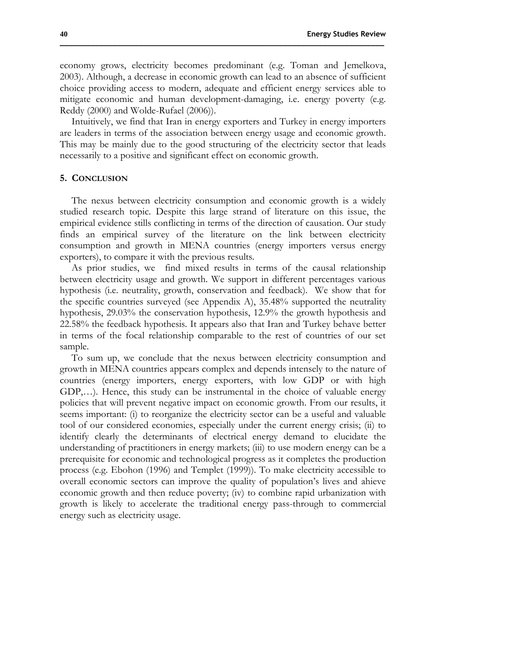economy grows, electricity becomes predominant (e.g. Toman and Jemelkova, 2003). Although, a decrease in economic growth can lead to an absence of sufficient choice providing access to modern, adequate and efficient energy services able to mitigate economic and human development-damaging, i.e. energy poverty (e.g. Reddy (2000) and Wolde-Rufael (2006)).

Intuitively, we find that Iran in energy exporters and Turkey in energy importers are leaders in terms of the association between energy usage and economic growth. This may be mainly due to the good structuring of the electricity sector that leads necessarily to a positive and significant effect on economic growth.

#### **5. CONCLUSION**

The nexus between electricity consumption and economic growth is a widely studied research topic. Despite this large strand of literature on this issue, the empirical evidence stills conflicting in terms of the direction of causation. Our study finds an empirical survey of the literature on the link between electricity consumption and growth in MENA countries (energy importers versus energy exporters), to compare it with the previous results.

As prior studies, we find mixed results in terms of the causal relationship between electricity usage and growth. We support in different percentages various hypothesis (i.e. neutrality, growth, conservation and feedback). We show that for the specific countries surveyed (see Appendix A), 35.48% supported the neutrality hypothesis, 29.03% the conservation hypothesis, 12.9% the growth hypothesis and 22.58% the feedback hypothesis. It appears also that Iran and Turkey behave better in terms of the focal relationship comparable to the rest of countries of our set sample.

To sum up, we conclude that the nexus between electricity consumption and growth in MENA countries appears complex and depends intensely to the nature of countries (energy importers, energy exporters, with low GDP or with high GDP,…). Hence, this study can be instrumental in the choice of valuable energy policies that will prevent negative impact on economic growth. From our results, it seems important: (i) to reorganize the electricity sector can be a useful and valuable tool of our considered economies, especially under the current energy crisis; (ii) to identify clearly the determinants of electrical energy demand to elucidate the understanding of practitioners in energy markets; (iii) to use modern energy can be a prerequisite for economic and technological progress as it completes the production process (e.g. Ebohon (1996) and Templet (1999)). To make electricity accessible to overall economic sectors can improve the quality of population's lives and ahieve economic growth and then reduce poverty; (iv) to combine rapid urbanization with growth is likely to accelerate the traditional energy pass-through to commercial energy such as electricity usage.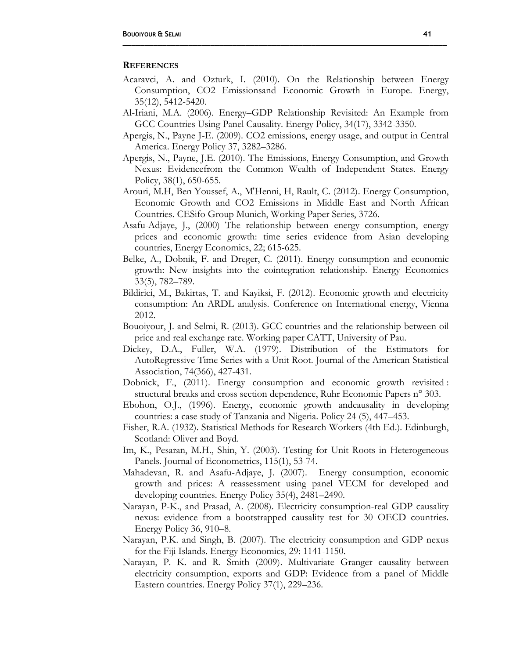#### **REFERENCES**

Acaravci, A. and Ozturk, I. (2010). On the Relationship between Energy Consumption, CO2 Emissionsand Economic Growth in Europe. Energy, 35(12), 5412-5420.

**\_\_\_\_\_\_\_\_\_\_\_\_\_\_\_\_\_\_\_\_\_\_\_\_\_\_\_\_\_\_\_\_\_\_\_\_\_\_\_\_\_\_\_\_\_\_\_\_\_\_\_\_\_\_\_\_\_\_\_\_\_\_\_\_\_\_\_\_\_\_\_\_\_\_**

- Al-Iriani, M.A. (2006). Energy–GDP Relationship Revisited: An Example from GCC Countries Using Panel Causality. Energy Policy, 34(17), 3342-3350.
- Apergis, N., Payne J-E. (2009). CO2 emissions, energy usage, and output in Central America. Energy Policy 37, 3282–3286.
- Apergis, N., Payne, J.E. (2010). The Emissions, Energy Consumption, and Growth Nexus: Evidencefrom the Common Wealth of Independent States. Energy Policy, 38(1), 650-655.
- Arouri, M.H, Ben Youssef, A., M'Henni, H, Rault, C. (2012). Energy Consumption, Economic Growth and CO2 Emissions in Middle East and North African Countries. CESifo Group Munich, Working Paper Series, 3726.
- Asafu-Adjaye, J., (2000) The relationship between energy consumption, energy prices and economic growth: time series evidence from Asian developing countries, Energy Economics, 22; 615-625.
- Belke, A., Dobnik, F. and Dreger, C. (2011). Energy consumption and economic growth: New insights into the cointegration relationship. Energy Economics 33(5), 782–789.
- Bildirici, M., Bakirtas, T. and Kayiksi, F. (2012). Economic growth and electricity consumption: An ARDL analysis. Conference on International energy, Vienna 2012.
- Bouoiyour, J. and Selmi, R. (2013). GCC countries and the relationship between oil price and real exchange rate. Working paper CATT, University of Pau.
- Dickey, D.A., Fuller, W.A. (1979). Distribution of the Estimators for AutoRegressive Time Series with a Unit Root. Journal of the American Statistical Association, 74(366), 427-431.
- Dobnick, F., (2011). Energy consumption and economic growth revisited : structural breaks and cross section dependence, Ruhr Economic Papers n° 303.
- Ebohon, O.J., (1996). Energy, economic growth andcausality in developing countries: a case study of Tanzania and Nigeria. Policy 24 (5), 447–453.
- Fisher, R.A. (1932). Statistical Methods for Research Workers (4th Ed.). Edinburgh, Scotland: Oliver and Boyd.
- Im, K., Pesaran, M.H., Shin, Y. (2003). Testing for Unit Roots in Heterogeneous Panels. Journal of Econometrics, 115(1), 53-74.
- Mahadevan, R. and Asafu-Adjaye, J. (2007). Energy consumption, economic growth and prices: A reassessment using panel VECM for developed and developing countries. Energy Policy 35(4), 2481–2490.
- Narayan, P-K., and Prasad, A. (2008). Electricity consumption-real GDP causality nexus: evidence from a bootstrapped causality test for 30 OECD countries. Energy Policy 36, 910–8.
- Narayan, P.K. and Singh, B. (2007). The electricity consumption and GDP nexus for the Fiji Islands. Energy Economics, 29: 1141-1150.
- Narayan, P. K. and R. Smith (2009). Multivariate Granger causality between electricity consumption, exports and GDP: Evidence from a panel of Middle Eastern countries. Energy Policy 37(1), 229–236.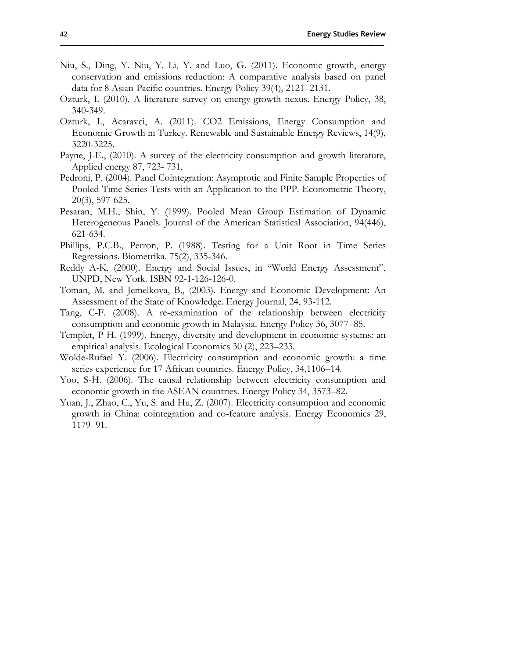- Niu, S., Ding, Y. Niu, Y. Li, Y. and Luo, G. (2011). Economic growth, energy conservation and emissions reduction: A comparative analysis based on panel data for 8 Asian-Pacific countries. Energy Policy 39(4), 2121–2131.
- Ozturk, I. (2010). A literature survey on energy-growth nexus. Energy Policy, 38, 340-349.
- Ozturk, I., Acaravci, A. (2011). CO2 Emissions, Energy Consumption and Economic Growth in Turkey. Renewable and Sustainable Energy Reviews, 14(9), 3220-3225.
- Payne, J-E., (2010). A survey of the electricity consumption and growth literature, Applied energy 87, 723- 731.
- Pedroni, P. (2004). Panel Cointegration: Asymptotic and Finite Sample Properties of Pooled Time Series Tests with an Application to the PPP. Econometric Theory, 20(3), 597-625.
- Pesaran, M.H., Shin, Y. (1999). Pooled Mean Group Estimation of Dynamic Heterogeneous Panels. Journal of the American Statistical Association, 94(446), 621-634.
- Phillips, P.C.B., Perron, P. (1988). Testing for a Unit Root in Time Series Regressions. Biometrika. 75(2), 335-346.
- Reddy A-K. (2000). Energy and Social Issues, in "World Energy Assessment", UNPD, New York. ISBN 92-1-126-126-0.
- Toman, M. and Jemelkova, B., (2003). Energy and Economic Development: An Assessment of the State of Knowledge. Energy Journal, 24, 93-112.
- Tang, C-F. (2008). A re-examination of the relationship between electricity consumption and economic growth in Malaysia. Energy Policy 36, 3077–85.
- Templet, P H. (1999). Energy, diversity and development in economic systems: an empirical analysis. Ecological Economics 30 (2), 223–233.
- Wolde-Rufael Y. (2006). Electricity consumption and economic growth: a time series experience for 17 African countries. Energy Policy, 34,1106–14.
- Yoo, S-H. (2006). The causal relationship between electricity consumption and economic growth in the ASEAN countries. Energy Policy 34, 3573–82.
- Yuan, J., Zhao, C., Yu, S. and Hu, Z. (2007). Electricity consumption and economic growth in China: cointegration and co-feature analysis. Energy Economics 29, 1179–91.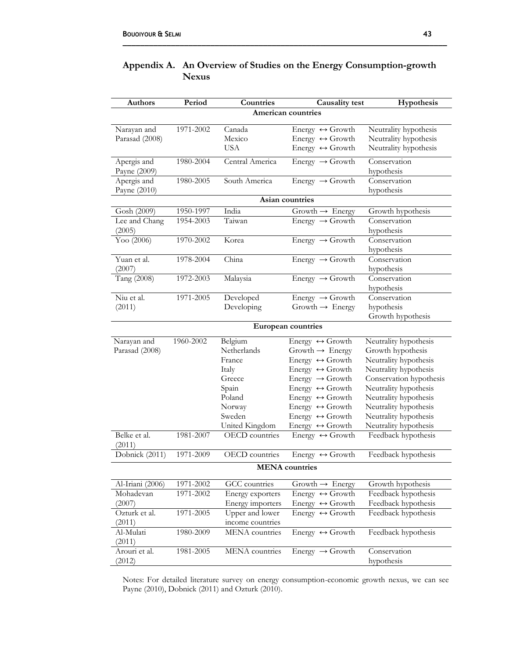Al-Mulati (2011)

Arouri et al. (2012)

| <b>Authors</b>                | Period    | Countries                                                                                                    | <b>Causality</b> test                                                                                                                                                                                                                                                                                                                              | Hypothesis                                                                                                                                                                                                                                           |
|-------------------------------|-----------|--------------------------------------------------------------------------------------------------------------|----------------------------------------------------------------------------------------------------------------------------------------------------------------------------------------------------------------------------------------------------------------------------------------------------------------------------------------------------|------------------------------------------------------------------------------------------------------------------------------------------------------------------------------------------------------------------------------------------------------|
|                               |           |                                                                                                              | American countries                                                                                                                                                                                                                                                                                                                                 |                                                                                                                                                                                                                                                      |
| Narayan and<br>Parasad (2008) | 1971-2002 | Canada<br>Mexico                                                                                             | Energy $\leftrightarrow$ Growth<br>Energy $\leftrightarrow$ Growth                                                                                                                                                                                                                                                                                 | Neutrality hypothesis<br>Neutrality hypothesis                                                                                                                                                                                                       |
| Apergis and<br>Payne (2009)   | 1980-2004 | <b>USA</b><br>Central America                                                                                | Energy $\leftrightarrow$ Growth<br>Energy $\rightarrow$ Growth                                                                                                                                                                                                                                                                                     | Neutrality hypothesis<br>Conservation<br>hypothesis                                                                                                                                                                                                  |
| Apergis and<br>Payne (2010)   | 1980-2005 | South America                                                                                                | Energy $\rightarrow$ Growth                                                                                                                                                                                                                                                                                                                        | Conservation<br>hypothesis                                                                                                                                                                                                                           |
|                               |           |                                                                                                              | Asian countries                                                                                                                                                                                                                                                                                                                                    |                                                                                                                                                                                                                                                      |
| Gosh (2009)                   | 1950-1997 | India                                                                                                        | Growth $\rightarrow$ Energy                                                                                                                                                                                                                                                                                                                        | Growth hypothesis                                                                                                                                                                                                                                    |
| Lee and Chang<br>(2005)       | 1954-2003 | Taiwan                                                                                                       | Energy $\rightarrow$ Growth                                                                                                                                                                                                                                                                                                                        | Conservation<br>hypothesis                                                                                                                                                                                                                           |
| Yoo (2006)                    | 1970-2002 | Korea                                                                                                        | Energy $\rightarrow$ Growth                                                                                                                                                                                                                                                                                                                        | Conservation<br>hypothesis                                                                                                                                                                                                                           |
| Yuan et al.<br>(2007)         | 1978-2004 | China                                                                                                        | Energy $\rightarrow$ Growth                                                                                                                                                                                                                                                                                                                        | Conservation<br>hypothesis                                                                                                                                                                                                                           |
| Tang (2008)                   | 1972-2003 | Malaysia                                                                                                     | Energy $\rightarrow$ Growth                                                                                                                                                                                                                                                                                                                        | Conservation<br>hypothesis                                                                                                                                                                                                                           |
| Niu et al.<br>(2011)          | 1971-2005 | Developed<br>Developing                                                                                      | Energy $\rightarrow$ Growth<br>Growth $\rightarrow$ Energy                                                                                                                                                                                                                                                                                         | Conservation<br>hypothesis<br>Growth hypothesis                                                                                                                                                                                                      |
|                               |           |                                                                                                              | European countries                                                                                                                                                                                                                                                                                                                                 |                                                                                                                                                                                                                                                      |
| Narayan and<br>Parasad (2008) | 1960-2002 | Belgium<br>Netherlands<br>France<br>Italy<br>Greece<br>Spain<br>Poland<br>Norway<br>Sweden<br>United Kingdom | Energy $\leftrightarrow$ Growth<br>Growth $\rightarrow$ Energy<br>Energy $\leftrightarrow$ Growth<br>Energy $\leftrightarrow$ Growth<br>Energy $\rightarrow$ Growth<br>Energy $\leftrightarrow$ Growth<br>Energy $\leftrightarrow$ Growth<br>Energy $\leftrightarrow$ Growth<br>Energy $\leftrightarrow$ Growth<br>Energy $\leftrightarrow$ Growth | Neutrality hypothesis<br>Growth hypothesis<br>Neutrality hypothesis<br>Neutrality hypothesis<br>Conservation hypothesis<br>Neutrality hypothesis<br>Neutrality hypothesis<br>Neutrality hypothesis<br>Neutrality hypothesis<br>Neutrality hypothesis |
| Belke et al.<br>(2011)        | 1981-2007 | <b>OECD</b> countries                                                                                        | Energy $\leftrightarrow$ Growth                                                                                                                                                                                                                                                                                                                    | Feedback hypothesis                                                                                                                                                                                                                                  |
| Dobnick (2011)                | 1971-2009 | <b>OECD</b> countries                                                                                        | Energy $\leftrightarrow$ Growth                                                                                                                                                                                                                                                                                                                    | Feedback hypothesis                                                                                                                                                                                                                                  |
|                               |           |                                                                                                              | <b>MENA</b> countries                                                                                                                                                                                                                                                                                                                              |                                                                                                                                                                                                                                                      |
| Al-Iriani (2006)              | 1971-2002 | GCC countries                                                                                                | Growth $\rightarrow$ Energy                                                                                                                                                                                                                                                                                                                        | Growth hypothesis                                                                                                                                                                                                                                    |
| Mohadevan<br>(2007)           | 1971-2002 | Energy exporters<br>Energy importers                                                                         | Energy $\leftrightarrow$ Growth<br>Energy $\leftrightarrow$ Growth                                                                                                                                                                                                                                                                                 | Feedback hypothesis<br>Feedback hypothesis                                                                                                                                                                                                           |
| Ozturk et al.<br>(2011)       | 1971-2005 | Upper and lower<br>income countries                                                                          | Energy $\leftrightarrow$ Growth                                                                                                                                                                                                                                                                                                                    | Feedback hypothesis                                                                                                                                                                                                                                  |

## **Appendix A. An Overview of Studies on the Energy Consumption-growth Nexus**

**\_\_\_\_\_\_\_\_\_\_\_\_\_\_\_\_\_\_\_\_\_\_\_\_\_\_\_\_\_\_\_\_\_\_\_\_\_\_\_\_\_\_\_\_\_\_\_\_\_\_\_\_\_\_\_\_\_\_\_\_\_\_\_\_\_\_\_\_\_\_\_\_\_\_**

Notes: For detailed literature survey on energy consumption-economic growth nexus, we can see Payne (2010), Dobnick (2011) and Ozturk (2010).

1981-2005 MENA countries Energy → Growth Conservation

1980-2009 MENA countries Energy ↔ Growth Feedback hypothesis

hypothesis